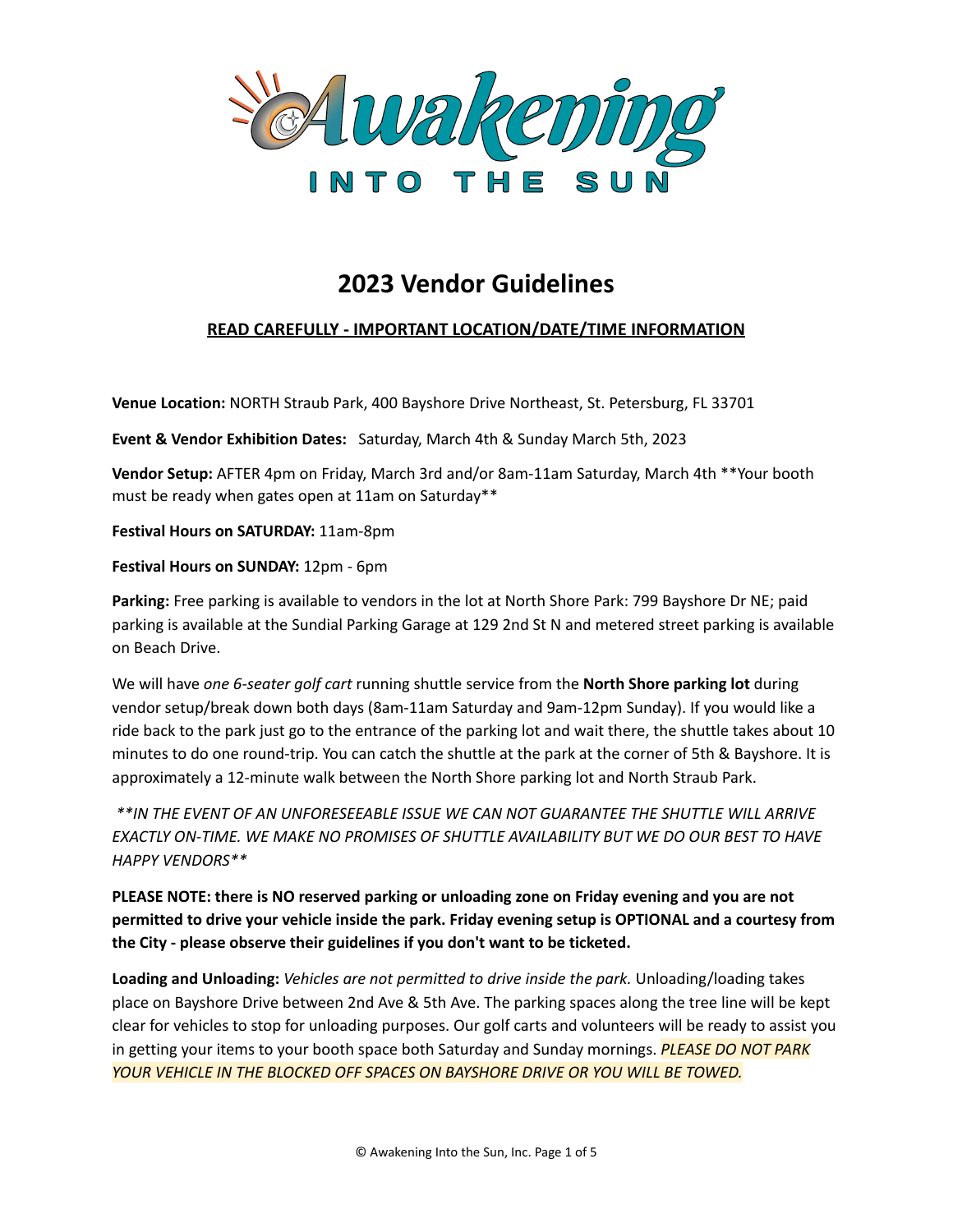

# **2023 Vendor Guidelines**

# **READ CAREFULLY - IMPORTANT LOCATION/DATE/TIME INFORMATION**

**Venue Location:** NORTH Straub Park, 400 Bayshore Drive Northeast, St. Petersburg, FL 33701

**Event & Vendor Exhibition Dates:** Saturday, March 4th & Sunday March 5th, 2023

**Vendor Setup:** AFTER 4pm on Friday, March 3rd and/or 8am-11am Saturday, March 4th \*\*Your booth must be ready when gates open at 11am on Saturday\*\*

**Festival Hours on SATURDAY:** 11am-8pm

**Festival Hours on SUNDAY:** 12pm - 6pm

**Parking:** Free parking is available to vendors in the lot at North Shore Park: 799 Bayshore Dr NE; paid parking is available at the Sundial Parking Garage at 129 2nd St N and metered street parking is available on Beach Drive.

We will have *one 6-seater golf cart* running shuttle service from the **North Shore parking lot** during vendor setup/break down both days (8am-11am Saturday and 9am-12pm Sunday). If you would like a ride back to the park just go to the entrance of the parking lot and wait there, the shuttle takes about 10 minutes to do one round-trip. You can catch the shuttle at the park at the corner of 5th & Bayshore. It is approximately a 12-minute walk between the North Shore parking lot and North Straub Park.

*\*\*IN THE EVENT OF AN UNFORESEEABLE ISSUE WE CAN NOT GUARANTEE THE SHUTTLE WILL ARRIVE EXACTLY ON-TIME. WE MAKE NO PROMISES OF SHUTTLE AVAILABILITY BUT WE DO OUR BEST TO HAVE HAPPY VENDORS\*\**

**PLEASE NOTE: there is NO reserved parking or unloading zone on Friday evening and you are not permitted to drive your vehicle inside the park. Friday evening setup is OPTIONAL and a courtesy from the City - please observe their guidelines if you don't want to be ticketed.**

**Loading and Unloading:** *Vehicles are not permitted to drive inside the park.* Unloading/loading takes place on Bayshore Drive between 2nd Ave & 5th Ave. The parking spaces along the tree line will be kept clear for vehicles to stop for unloading purposes. Our golf carts and volunteers will be ready to assist you in getting your items to your booth space both Saturday and Sunday mornings. *PLEASE DO NOT PARK YOUR VEHICLE IN THE BLOCKED OFF SPACES ON BAYSHORE DRIVE OR YOU WILL BE TOWED.*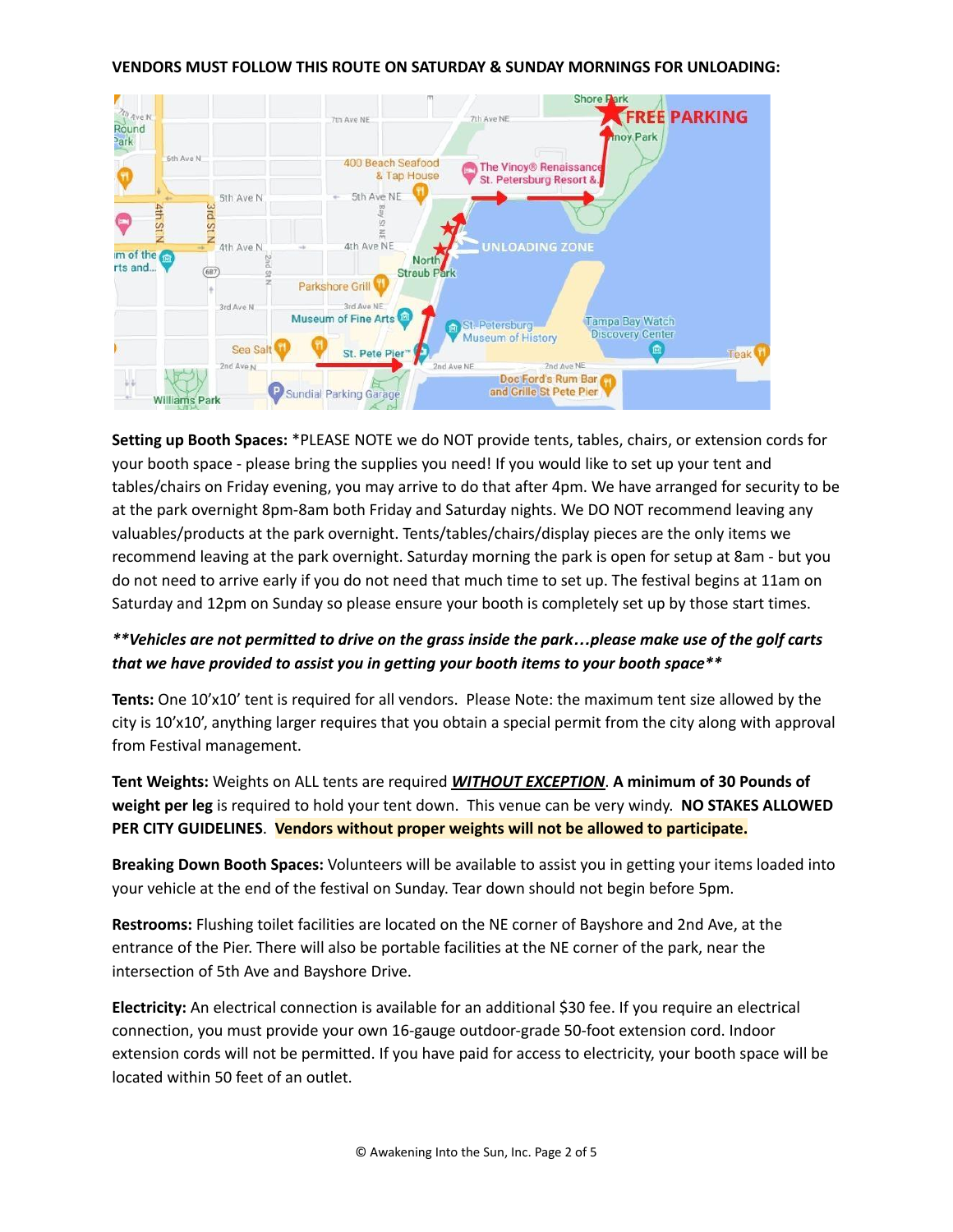

**Setting up Booth Spaces:** \*PLEASE NOTE we do NOT provide tents, tables, chairs, or extension cords for your booth space - please bring the supplies you need! If you would like to set up your tent and tables/chairs on Friday evening, you may arrive to do that after 4pm. We have arranged for security to be at the park overnight 8pm-8am both Friday and Saturday nights. We DO NOT recommend leaving any valuables/products at the park overnight. Tents/tables/chairs/display pieces are the only items we recommend leaving at the park overnight. Saturday morning the park is open for setup at 8am - but you do not need to arrive early if you do not need that much time to set up. The festival begins at 11am on Saturday and 12pm on Sunday so please ensure your booth is completely set up by those start times.

# \*\*Vehicles are not permitted to drive on the grass inside the park...please make use of the golf carts *that we have provided to assist you in getting your booth items to your booth space\*\**

**Tents:** One 10'x10' tent is required for all vendors. Please Note: the maximum tent size allowed by the city is 10'x10', anything larger requires that you obtain a special permit from the city along with approval from Festival management.

**Tent Weights:** Weights on ALL tents are required *WITHOUT EXCEPTION*. **A minimum of 30 Pounds of weight per leg** is required to hold your tent down. This venue can be very windy. **NO STAKES ALLOWED PER CITY GUIDELINES**. **Vendors without proper weights will not be allowed to participate.**

**Breaking Down Booth Spaces:** Volunteers will be available to assist you in getting your items loaded into your vehicle at the end of the festival on Sunday. Tear down should not begin before 5pm.

**Restrooms:** Flushing toilet facilities are located on the NE corner of Bayshore and 2nd Ave, at the entrance of the Pier. There will also be portable facilities at the NE corner of the park, near the intersection of 5th Ave and Bayshore Drive.

**Electricity:** An electrical connection is available for an additional \$30 fee. If you require an electrical connection, you must provide your own 16-gauge outdoor-grade 50-foot extension cord. Indoor extension cords will not be permitted. If you have paid for access to electricity, your booth space will be located within 50 feet of an outlet.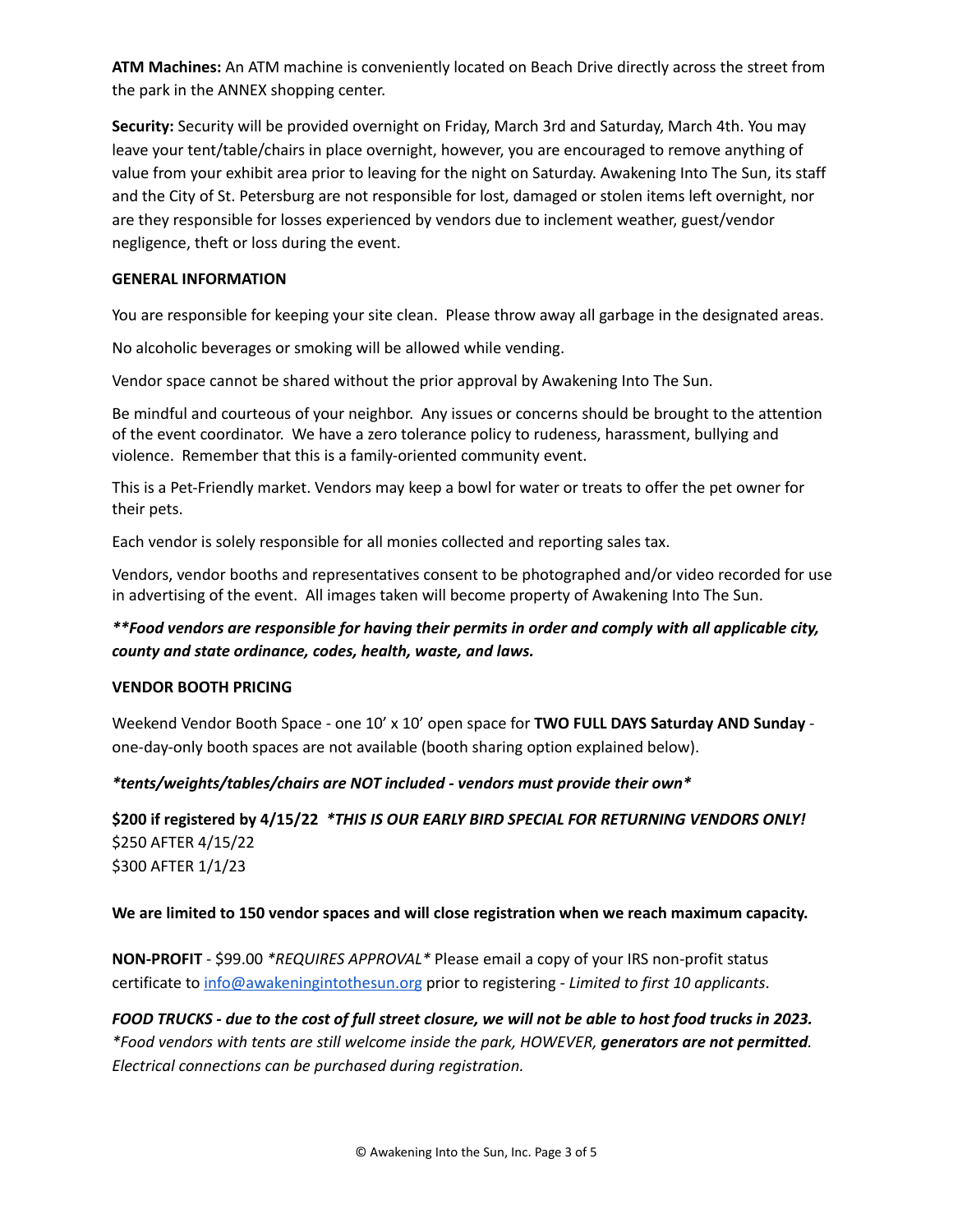**ATM Machines:** An ATM machine is conveniently located on Beach Drive directly across the street from the park in the ANNEX shopping center.

**Security:** Security will be provided overnight on Friday, March 3rd and Saturday, March 4th. You may leave your tent/table/chairs in place overnight, however, you are encouraged to remove anything of value from your exhibit area prior to leaving for the night on Saturday. Awakening Into The Sun, its staff and the City of St. Petersburg are not responsible for lost, damaged or stolen items left overnight, nor are they responsible for losses experienced by vendors due to inclement weather, guest/vendor negligence, theft or loss during the event.

### **GENERAL INFORMATION**

You are responsible for keeping your site clean. Please throw away all garbage in the designated areas.

No alcoholic beverages or smoking will be allowed while vending.

Vendor space cannot be shared without the prior approval by Awakening Into The Sun.

Be mindful and courteous of your neighbor. Any issues or concerns should be brought to the attention of the event coordinator. We have a zero tolerance policy to rudeness, harassment, bullying and violence. Remember that this is a family-oriented community event.

This is a Pet-Friendly market. Vendors may keep a bowl for water or treats to offer the pet owner for their pets.

Each vendor is solely responsible for all monies collected and reporting sales tax.

Vendors, vendor booths and representatives consent to be photographed and/or video recorded for use in advertising of the event. All images taken will become property of Awakening Into The Sun.

# *\*\*Food vendors are responsible for having their permits in order and comply with all applicable city, county and state ordinance, codes, health, waste, and laws.*

# **VENDOR BOOTH PRICING**

Weekend Vendor Booth Space - one 10' x 10' open space for **TWO FULL DAYS Saturday AND Sunday** one-day-only booth spaces are not available (booth sharing option explained below).

# *\*tents/weights/tables/chairs are NOT included - vendors must provide their own\**

**\$200 if registered by 4/15/22** *\*THIS IS OUR EARLY BIRD SPECIAL FOR RETURNING VENDORS ONLY!* \$250 AFTER 4/15/22 \$300 AFTER 1/1/23

#### **We are limited to 150 vendor spaces and will close registration when we reach maximum capacity.**

**NON-PROFIT** - \$99.00 *\*REQUIRES APPROVAL\** Please email a copy of your IRS non-profit status certificate to [info@awakeningintothesun.org](mailto:info@awakeningintothesun.org) prior to registering - *Limited to first 10 applicants*.

FOOD TRUCKS - due to the cost of full street closure, we will not be able to host food trucks in 2023. *\*Food vendors with tents are still welcome inside the park, HOWEVER, generators are not permitted. Electrical connections can be purchased during registration.*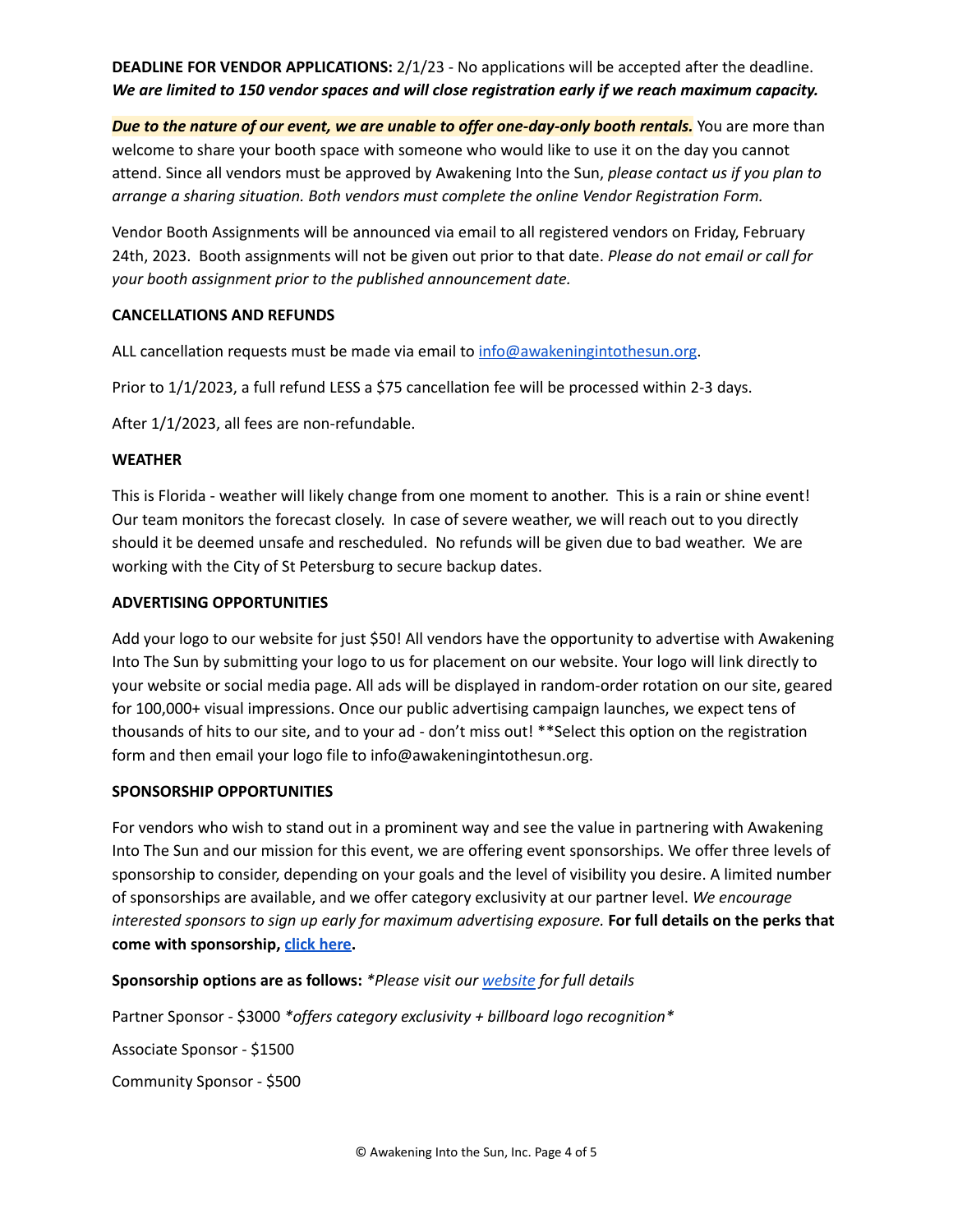# **DEADLINE FOR VENDOR APPLICATIONS:** 2/1/23 - No applications will be accepted after the deadline. *We are limited to 150 vendor spaces and will close registration early if we reach maximum capacity.*

*Due to the nature of our event, we are unable to offer one-day-only booth rentals.* You are more than welcome to share your booth space with someone who would like to use it on the day you cannot attend. Since all vendors must be approved by Awakening Into the Sun, *please contact us if you plan to arrange a sharing situation. Both vendors must complete the online Vendor Registration Form.*

Vendor Booth Assignments will be announced via email to all registered vendors on Friday, February 24th, 2023. Booth assignments will not be given out prior to that date. *Please do not email or call for your booth assignment prior to the published announcement date.*

# **CANCELLATIONS AND REFUNDS**

ALL cancellation requests must be made via email to [info@awakeningintothesun.org.](mailto:info@awakeningintothesun.org)

Prior to 1/1/2023, a full refund LESS a \$75 cancellation fee will be processed within 2-3 days.

After 1/1/2023, all fees are non-refundable.

# **WEATHER**

This is Florida - weather will likely change from one moment to another. This is a rain or shine event! Our team monitors the forecast closely. In case of severe weather, we will reach out to you directly should it be deemed unsafe and rescheduled. No refunds will be given due to bad weather. We are working with the City of St Petersburg to secure backup dates.

# **ADVERTISING OPPORTUNITIES**

Add your logo to our website for just \$50! All vendors have the opportunity to advertise with Awakening Into The Sun by submitting your logo to us for placement on our website. Your logo will link directly to your website or social media page. All ads will be displayed in random-order rotation on our site, geared for 100,000+ visual impressions. Once our public advertising campaign launches, we expect tens of thousands of hits to our site, and to your ad - don't miss out! \*\*Select this option on the registration form and then email your logo file to info@awakeningintothesun.org.

# **SPONSORSHIP OPPORTUNITIES**

For vendors who wish to stand out in a prominent way and see the value in partnering with Awakening Into The Sun and our mission for this event, we are offering event sponsorships. We offer three levels of sponsorship to consider, depending on your goals and the level of visibility you desire. A limited number of sponsorships are available, and we offer category exclusivity at our partner level. *We encourage interested sponsors to sign up early for maximum advertising exposure.* **For full details on the perks that come with sponsorship, click [here.](https://www.awakeningintothesun.org/sponsors)**

**Sponsorship options are as follows:** *\*Please visit our [website](https://www.awakeningintothesun.org/sponsors) for full details*

Partner Sponsor - \$3000 *\*offers category exclusivity + billboard logo recognition\**

Associate Sponsor - \$1500

Community Sponsor - \$500